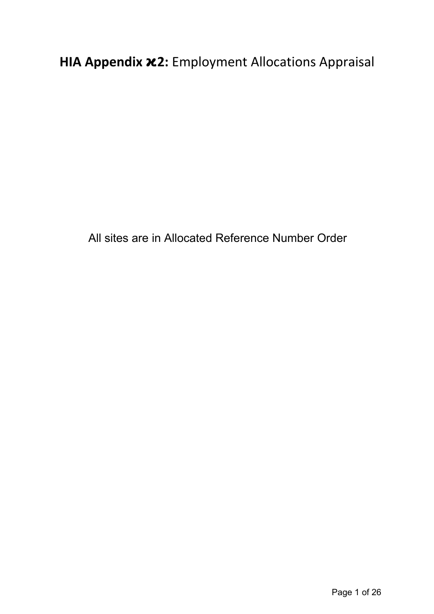**HIA Appendix .2:** Employment Allocations Appraisal

All sites are in Allocated Reference Number Order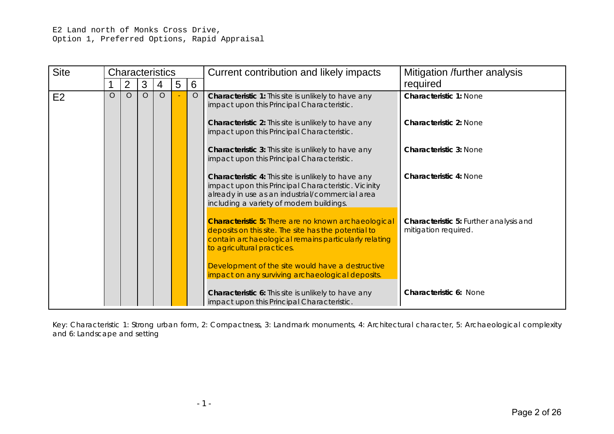E2 Land north of Monks Cross Drive, Option 1, Preferred Options, Rapid Appraisal

| <b>Site</b> |         |                |         | <b>Characteristics</b> |   |         | Current contribution and likely impacts                                                                                                                                                                   | Mitigation /further analysis                                   |
|-------------|---------|----------------|---------|------------------------|---|---------|-----------------------------------------------------------------------------------------------------------------------------------------------------------------------------------------------------------|----------------------------------------------------------------|
|             |         | $\overline{2}$ | 3       | 4                      | 5 | 6       |                                                                                                                                                                                                           | required                                                       |
| E2          | $\circ$ | $\circ$        | $\circ$ | $\circ$                |   | $\circ$ | Characteristic 1: This site is unlikely to have any<br>impact upon this Principal Characteristic.                                                                                                         | <b>Characteristic 1: None</b>                                  |
|             |         |                |         |                        |   |         | Characteristic 2: This site is unlikely to have any<br>impact upon this Principal Characteristic.                                                                                                         | <b>Characteristic 2: None</b>                                  |
|             |         |                |         |                        |   |         | <b>Characteristic 3:</b> This site is unlikely to have any<br>impact upon this Principal Characteristic.                                                                                                  | <b>Characteristic 3: None</b>                                  |
|             |         |                |         |                        |   |         | Characteristic 4: This site is unlikely to have any<br>impact upon this Principal Characteristic. Vicinity<br>already in use as an industrial/commercial area<br>including a variety of modern buildings. | <b>Characteristic 4: None</b>                                  |
|             |         |                |         |                        |   |         | <b>Characteristic 5: There are no known archaeological</b><br>deposits on this site. The site has the potential to<br>contain archaeological remains particularly relating<br>to agricultural practices.  | Characteristic 5: Further analysis and<br>mitigation required. |
|             |         |                |         |                        |   |         | Development of the site would have a destructive<br>impact on any surviving archaeological deposits.                                                                                                      |                                                                |
|             |         |                |         |                        |   |         | Characteristic 6: This site is unlikely to have any<br>impact upon this Principal Characteristic.                                                                                                         | <b>Characteristic 6: None</b>                                  |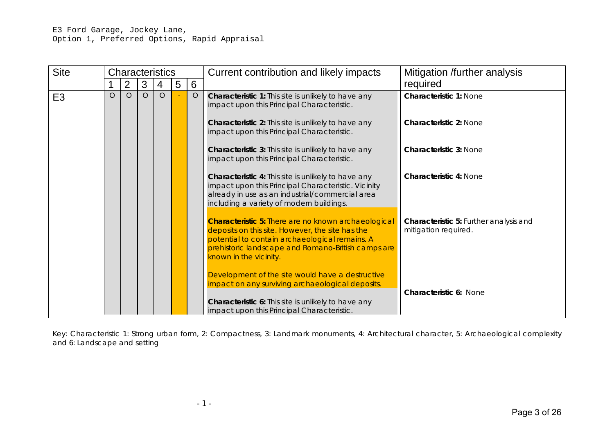| <b>Site</b>    |         |                |         | <b>Characteristics</b> |   |         | Current contribution and likely impacts                                                                                                                                                                                                          | Mitigation /further analysis                                   |
|----------------|---------|----------------|---------|------------------------|---|---------|--------------------------------------------------------------------------------------------------------------------------------------------------------------------------------------------------------------------------------------------------|----------------------------------------------------------------|
|                |         | $\overline{2}$ | 3       | 4                      | 5 | 6       |                                                                                                                                                                                                                                                  | required                                                       |
| E <sub>3</sub> | $\circ$ | $\circ$        | $\circ$ | $\circ$                |   | $\circ$ | Characteristic 1: This site is unlikely to have any<br>impact upon this Principal Characteristic.                                                                                                                                                | <b>Characteristic 1: None</b>                                  |
|                |         |                |         |                        |   |         | Characteristic 2: This site is unlikely to have any<br>impact upon this Principal Characteristic.                                                                                                                                                | <b>Characteristic 2: None</b>                                  |
|                |         |                |         |                        |   |         | Characteristic 3: This site is unlikely to have any<br>impact upon this Principal Characteristic.                                                                                                                                                | <b>Characteristic 3: None</b>                                  |
|                |         |                |         |                        |   |         | Characteristic 4: This site is unlikely to have any<br>impact upon this Principal Characteristic. Vicinity<br>already in use as an industrial/commercial area<br>including a variety of modern buildings.                                        | <b>Characteristic 4: None</b>                                  |
|                |         |                |         |                        |   |         | <b>Characteristic 5: There are no known archaeological</b><br>deposits on this site. However, the site has the<br>potential to contain archaeological remains. A<br>prehistoric landscape and Romano-British camps are<br>known in the vicinity. | Characteristic 5: Further analysis and<br>mitigation required. |
|                |         |                |         |                        |   |         | Development of the site would have a destructive<br>impact on any surviving archaeological deposits.<br>Characteristic 6: This site is unlikely to have any<br>impact upon this Principal Characteristic.                                        | <b>Characteristic 6: None</b>                                  |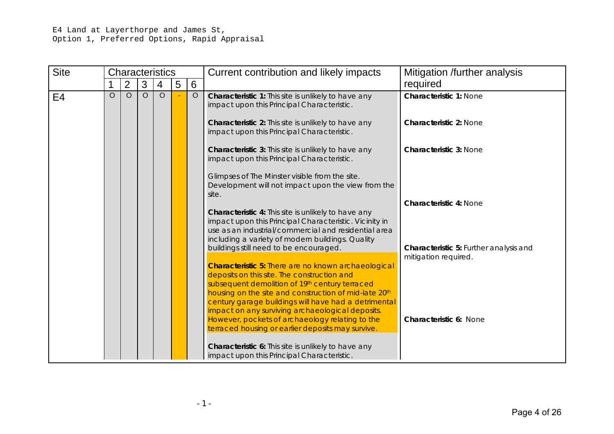## E4 Land at Layerthorpe and James St, Option 1, Preferred Options, Rapid Appraisal

| <b>Site</b> |         |                |         | <b>Characteristics</b> |   |         | Current contribution and likely impacts                                                                                                                                                                                                                                                                                                                                                                                                  | Mitigation /further analysis                                   |
|-------------|---------|----------------|---------|------------------------|---|---------|------------------------------------------------------------------------------------------------------------------------------------------------------------------------------------------------------------------------------------------------------------------------------------------------------------------------------------------------------------------------------------------------------------------------------------------|----------------------------------------------------------------|
|             |         | $\overline{2}$ | 3       | 4                      | 5 | 6       |                                                                                                                                                                                                                                                                                                                                                                                                                                          | required                                                       |
| E4          | $\circ$ | $\circ$        | $\circ$ | $\circ$                |   | $\circ$ | Characteristic 1: This site is unlikely to have any<br>impact upon this Principal Characteristic.<br><b>Characteristic 2:</b> This site is unlikely to have any                                                                                                                                                                                                                                                                          | <b>Characteristic 1: None</b><br><b>Characteristic 2: None</b> |
|             |         |                |         |                        |   |         | impact upon this Principal Characteristic.<br><b>Characteristic 3:</b> This site is unlikely to have any<br>impact upon this Principal Characteristic.                                                                                                                                                                                                                                                                                   | <b>Characteristic 3: None</b>                                  |
|             |         |                |         |                        |   |         | Glimpses of The Minster visible from the site.<br>Development will not impact upon the view from the<br>site.<br>Characteristic 4: This site is unlikely to have any<br>impact upon this Principal Characteristic. Vicinity in                                                                                                                                                                                                           | <b>Characteristic 4: None</b>                                  |
|             |         |                |         |                        |   |         | use as an industrial/commercial and residential area<br>including a variety of modern buildings. Quality<br>buildings still need to be encouraged.                                                                                                                                                                                                                                                                                       | Characteristic 5: Further analysis and                         |
|             |         |                |         |                        |   |         | <b>Characteristic 5: There are no known archaeological</b><br>deposits on this site. The construction and<br>subsequent demolition of 19th century terraced<br>housing on the site and construction of mid-late 20th<br>century garage buildings will have had a detrimental<br>impact on any surviving archaeological deposits.<br>However, pockets of archaeology relating to the<br>terraced housing or earlier deposits may survive. | mitigation required.<br>Characteristic 6: None                 |
|             |         |                |         |                        |   |         | <b>Characteristic 6:</b> This site is unlikely to have any<br>impact upon this Principal Characteristic.                                                                                                                                                                                                                                                                                                                                 |                                                                |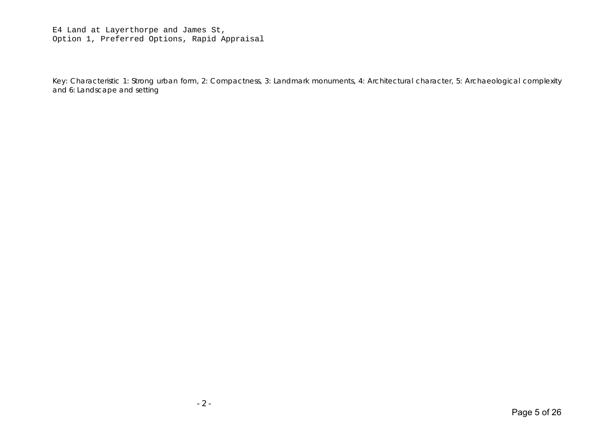E4 Land at Layerthorpe and James St, Option 1, Preferred Options, Rapid Appraisal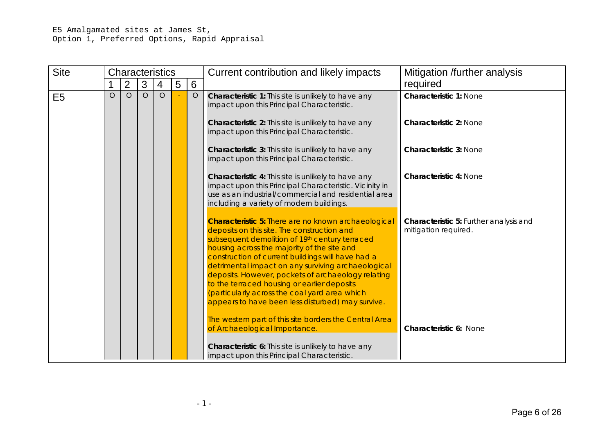## E5 Amalgamated sites at James St, Option 1, Preferred Options, Rapid Appraisal

| <b>Site</b>    |         |                |         | <b>Characteristics</b> |   |         | Current contribution and likely impacts                                                                                                                                                                                                                                                                                                                                                                                                                                                                                                                                                    | Mitigation /further analysis                                   |
|----------------|---------|----------------|---------|------------------------|---|---------|--------------------------------------------------------------------------------------------------------------------------------------------------------------------------------------------------------------------------------------------------------------------------------------------------------------------------------------------------------------------------------------------------------------------------------------------------------------------------------------------------------------------------------------------------------------------------------------------|----------------------------------------------------------------|
|                |         | $\overline{2}$ | 3       | $\overline{4}$         | 5 | 6       |                                                                                                                                                                                                                                                                                                                                                                                                                                                                                                                                                                                            | required                                                       |
| E <sub>5</sub> | $\circ$ | $\circ$        | $\circ$ | $\circ$                |   | $\circ$ | Characteristic 1: This site is unlikely to have any<br>impact upon this Principal Characteristic.<br>Characteristic 2: This site is unlikely to have any                                                                                                                                                                                                                                                                                                                                                                                                                                   | <b>Characteristic 1: None</b><br><b>Characteristic 2: None</b> |
|                |         |                |         |                        |   |         | impact upon this Principal Characteristic.                                                                                                                                                                                                                                                                                                                                                                                                                                                                                                                                                 |                                                                |
|                |         |                |         |                        |   |         | <b>Characteristic 3:</b> This site is unlikely to have any<br>impact upon this Principal Characteristic.                                                                                                                                                                                                                                                                                                                                                                                                                                                                                   | <b>Characteristic 3: None</b>                                  |
|                |         |                |         |                        |   |         | <b>Characteristic 4:</b> This site is unlikely to have any<br>impact upon this Principal Characteristic. Vicinity in<br>use as an industrial/commercial and residential area<br>including a variety of modern buildings.                                                                                                                                                                                                                                                                                                                                                                   | <b>Characteristic 4: None</b>                                  |
|                |         |                |         |                        |   |         | <b>Characteristic 5: There are no known archaeological</b><br>deposits on this site. The construction and<br>subsequent demolition of 19th century terraced<br>housing across the majority of the site and<br>construction of current buildings will have had a<br>detrimental impact on any surviving archaeological<br>deposits. However, pockets of archaeology relating<br>to the terraced housing or earlier deposits<br>(particularly across the coal yard area which<br>appears to have been less disturbed) may survive.<br>The western part of this site borders the Central Area | Characteristic 5: Further analysis and<br>mitigation required. |
|                |         |                |         |                        |   |         | of Archaeological Importance.                                                                                                                                                                                                                                                                                                                                                                                                                                                                                                                                                              | Characteristic 6: None                                         |
|                |         |                |         |                        |   |         | Characteristic 6: This site is unlikely to have any<br>impact upon this Principal Characteristic.                                                                                                                                                                                                                                                                                                                                                                                                                                                                                          |                                                                |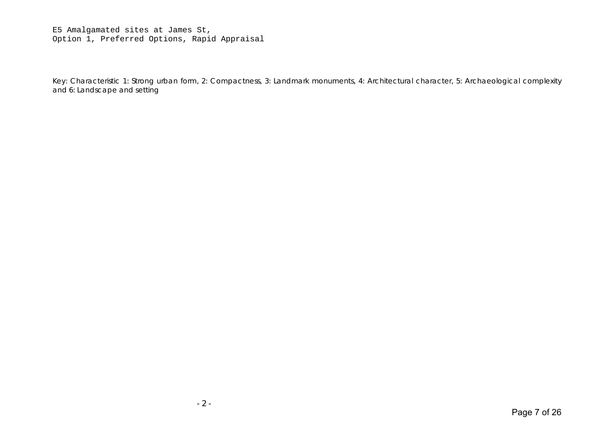E5 Amalgamated sites at James St, Option 1, Preferred Options, Rapid Appraisal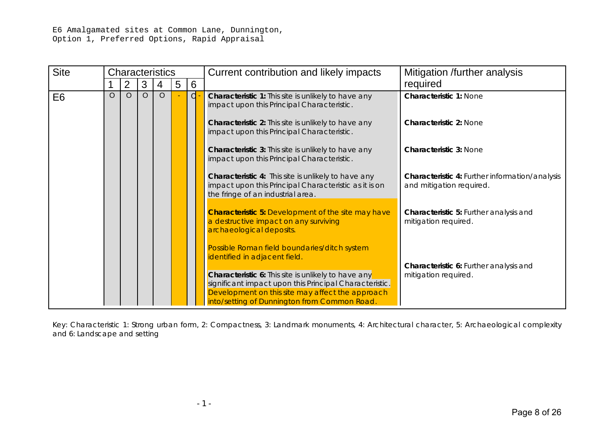E6 Amalgamated sites at Common Lane, Dunnington, Option 1, Preferred Options, Rapid Appraisal

| <b>Site</b>    |         |                |         | <b>Characteristics</b> |   |              | Current contribution and likely impacts                                                                                                                                                                                  | Mitigation /further analysis                                                      |
|----------------|---------|----------------|---------|------------------------|---|--------------|--------------------------------------------------------------------------------------------------------------------------------------------------------------------------------------------------------------------------|-----------------------------------------------------------------------------------|
|                |         | $\overline{2}$ | 3       | 4                      | 5 | 6            |                                                                                                                                                                                                                          | required                                                                          |
| E <sub>6</sub> | $\circ$ | $\circ$        | $\circ$ | $\circ$                |   | $\mathsf{d}$ | Characteristic 1: This site is unlikely to have any<br>impact upon this Principal Characteristic.                                                                                                                        | <b>Characteristic 1: None</b>                                                     |
|                |         |                |         |                        |   |              | Characteristic 2: This site is unlikely to have any<br>impact upon this Principal Characteristic.                                                                                                                        | <b>Characteristic 2: None</b>                                                     |
|                |         |                |         |                        |   |              | Characteristic 3: This site is unlikely to have any<br>impact upon this Principal Characteristic.                                                                                                                        | <b>Characteristic 3: None</b>                                                     |
|                |         |                |         |                        |   |              | <b>Characteristic 4:</b> This site is unlikely to have any<br>impact upon this Principal Characteristic as it is on<br>the fringe of an industrial area.                                                                 | <b>Characteristic 4: Further information/analysis</b><br>and mitigation required. |
|                |         |                |         |                        |   |              | <b>Characteristic 5: Development of the site may have</b><br>a destructive impact on any surviving<br>archaeological deposits.                                                                                           | Characteristic 5: Further analysis and<br>mitigation required.                    |
|                |         |                |         |                        |   |              | Possible Roman field boundaries/ditch system<br>identified in adjacent field.                                                                                                                                            | Characteristic 6: Further analysis and                                            |
|                |         |                |         |                        |   |              | <b>Characteristic 6:</b> This site is unlikely to have any<br>significant impact upon this Principal Characteristic.<br>Development on this site may affect the approach<br>into/setting of Dunnington from Common Road. | mitigation required.                                                              |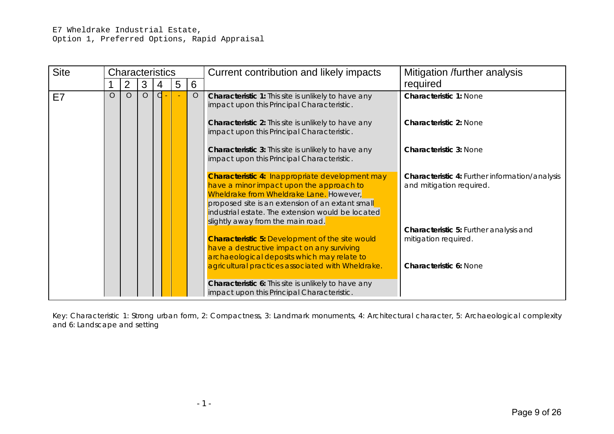| <b>Site</b> |         | <b>Characteristics</b> |         |       |   |         | Current contribution and likely impacts                                                                                                                                                                                                                                              | Mitigation /further analysis                                                      |
|-------------|---------|------------------------|---------|-------|---|---------|--------------------------------------------------------------------------------------------------------------------------------------------------------------------------------------------------------------------------------------------------------------------------------------|-----------------------------------------------------------------------------------|
|             |         | 2                      | 3       | 4     | 5 | 6       |                                                                                                                                                                                                                                                                                      | required                                                                          |
| E7          | $\circ$ | $\circ$                | $\circ$ | $d -$ |   | $\circ$ | Characteristic 1: This site is unlikely to have any<br>impact upon this Principal Characteristic.                                                                                                                                                                                    | <b>Characteristic 1: None</b>                                                     |
|             |         |                        |         |       |   |         | Characteristic 2: This site is unlikely to have any<br>impact upon this Principal Characteristic.                                                                                                                                                                                    | Characteristic 2: None                                                            |
|             |         |                        |         |       |   |         | <b>Characteristic 3:</b> This site is unlikely to have any<br>impact upon this Principal Characteristic.                                                                                                                                                                             | <b>Characteristic 3: None</b>                                                     |
|             |         |                        |         |       |   |         | Characteristic 4: Inappropriate development may<br>have a minor impact upon the approach to<br>Wheldrake from Wheldrake Lane. However,<br>proposed site is an extension of an extant small<br>industrial estate. The extension would be located<br>slightly away from the main road. | <b>Characteristic 4: Further information/analysis</b><br>and mitigation required. |
|             |         |                        |         |       |   |         | <b>Characteristic 5: Development of the site would</b><br>have a destructive impact on any surviving<br>archaeological deposits which may relate to                                                                                                                                  | Characteristic 5: Further analysis and<br>mitigation required.                    |
|             |         |                        |         |       |   |         | agricultural practices associated with Wheldrake.                                                                                                                                                                                                                                    | Characteristic 6: None                                                            |
|             |         |                        |         |       |   |         | <b>Characteristic 6:</b> This site is unlikely to have any<br>impact upon this Principal Characteristic.                                                                                                                                                                             |                                                                                   |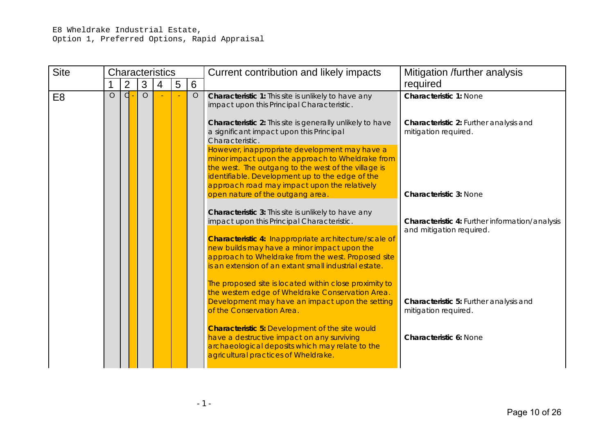## E8 Wheldrake Industrial Estate, Option 1, Preferred Options, Rapid Appraisal

| <b>Site</b>    |         |                |                | <b>Characteristics</b> |   |          | Current contribution and likely impacts                                                                                                                                                                                                                                              | Mitigation /further analysis                                               |
|----------------|---------|----------------|----------------|------------------------|---|----------|--------------------------------------------------------------------------------------------------------------------------------------------------------------------------------------------------------------------------------------------------------------------------------------|----------------------------------------------------------------------------|
|                |         | $\overline{2}$ | 3              | $\overline{4}$         | 5 | 6        |                                                                                                                                                                                                                                                                                      | required                                                                   |
| E <sub>8</sub> | $\circ$ | $\overline{d}$ | $\overline{O}$ |                        |   | $\Omega$ | Characteristic 1: This site is unlikely to have any<br>impact upon this Principal Characteristic.                                                                                                                                                                                    | <b>Characteristic 1: None</b>                                              |
|                |         |                |                |                        |   |          | Characteristic 2: This site is generally unlikely to have<br>a significant impact upon this Principal<br>Characteristic.<br>However, inappropriate development may have a<br>minor impact upon the approach to Wheldrake from<br>the west. The outgang to the west of the village is | Characteristic 2: Further analysis and<br>mitigation required.             |
|                |         |                |                |                        |   |          | identifiable. Development up to the edge of the<br>approach road may impact upon the relatively                                                                                                                                                                                      |                                                                            |
|                |         |                |                |                        |   |          | open nature of the outgang area.                                                                                                                                                                                                                                                     | <b>Characteristic 3: None</b>                                              |
|                |         |                |                |                        |   |          | Characteristic 3: This site is unlikely to have any<br>impact upon this Principal Characteristic.                                                                                                                                                                                    | Characteristic 4: Further information/analysis<br>and mitigation required. |
|                |         |                |                |                        |   |          | Characteristic 4: Inappropriate architecture/scale of<br>new builds may have a minor impact upon the<br>approach to Wheldrake from the west. Proposed site<br>is an extension of an extant small industrial estate.                                                                  |                                                                            |
|                |         |                |                |                        |   |          | The proposed site is located within close proximity to<br>the western edge of Wheldrake Conservation Area.<br>Development may have an impact upon the setting<br>of the Conservation Area.                                                                                           | Characteristic 5: Further analysis and<br>mitigation required.             |
|                |         |                |                |                        |   |          | <b>Characteristic 5: Development of the site would</b><br>have a destructive impact on any surviving<br>archaeological deposits which may relate to the<br>agricultural practices of Wheldrake.                                                                                      | Characteristic 6: None                                                     |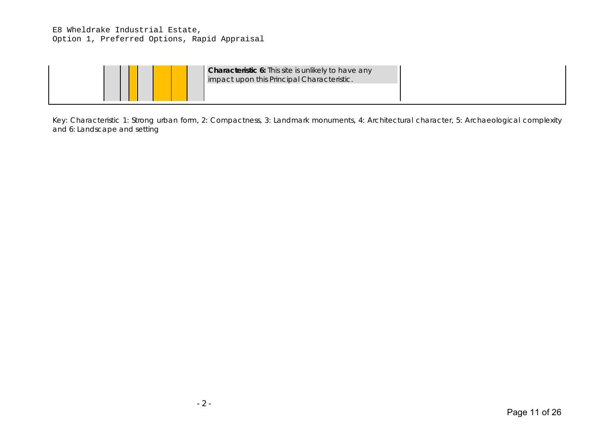## E8 Wheldrake Industrial Estate, Option 1, Preferred Options, Rapid Appraisal

|--|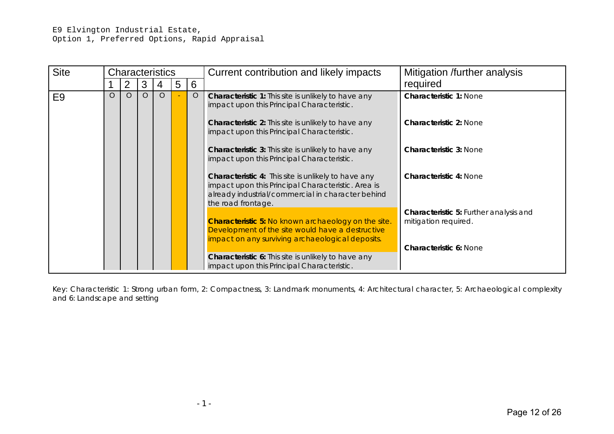| <b>Site</b>    | <b>Characteristics</b> |          |   |          |   |         | Current contribution and likely impacts                                                                                                                                                     | Mitigation /further analysis                                          |
|----------------|------------------------|----------|---|----------|---|---------|---------------------------------------------------------------------------------------------------------------------------------------------------------------------------------------------|-----------------------------------------------------------------------|
|                |                        | 2        | 3 | 4        | 5 | 6       |                                                                                                                                                                                             | required                                                              |
| E <sub>9</sub> | $\circ$                | $\Omega$ | O | $\Omega$ |   | $\circ$ | <b>Characteristic 1:</b> This site is unlikely to have any<br>impact upon this Principal Characteristic.                                                                                    | <b>Characteristic 1: None</b>                                         |
|                |                        |          |   |          |   |         | <b>Characteristic 2:</b> This site is unlikely to have any<br>impact upon this Principal Characteristic.                                                                                    | <b>Characteristic 2: None</b>                                         |
|                |                        |          |   |          |   |         | Characteristic 3: This site is unlikely to have any<br>impact upon this Principal Characteristic.                                                                                           | <b>Characteristic 3: None</b>                                         |
|                |                        |          |   |          |   |         | <b>Characteristic 4:</b> This site is unlikely to have any<br>impact upon this Principal Characteristic. Area is<br>already industrial/commercial in character behind<br>the road frontage. | <b>Characteristic 4: None</b>                                         |
|                |                        |          |   |          |   |         | <b>Characteristic 5: No known archaeology on the site.</b><br>Development of the site would have a destructive<br>impact on any surviving archaeological deposits.                          | <b>Characteristic 5: Further analysis and</b><br>mitigation required. |
|                |                        |          |   |          |   |         | <b>Characteristic 6:</b> This site is unlikely to have any<br>impact upon this Principal Characteristic.                                                                                    | <b>Characteristic 6: None</b>                                         |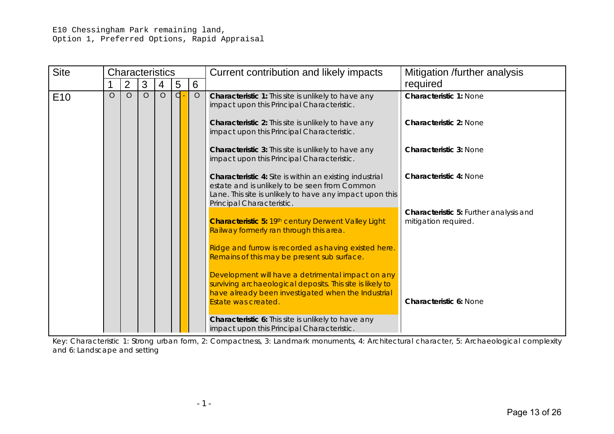## E10 Chessingham Park remaining land, Option 1, Preferred Options, Rapid Appraisal

| <b>Site</b>     |         | <b>Characteristics</b> |         |         |   |         | Current contribution and likely impacts                                                                                                                                                                  | Mitigation /further analysis                                   |
|-----------------|---------|------------------------|---------|---------|---|---------|----------------------------------------------------------------------------------------------------------------------------------------------------------------------------------------------------------|----------------------------------------------------------------|
|                 |         | 2                      | 3       | 4       | 5 | 6       |                                                                                                                                                                                                          | required                                                       |
| E <sub>10</sub> | $\circ$ | $\circ$                | $\circ$ | $\circ$ | d | $\circ$ | Characteristic 1: This site is unlikely to have any<br>impact upon this Principal Characteristic.                                                                                                        | <b>Characteristic 1: None</b>                                  |
|                 |         |                        |         |         |   |         | <b>Characteristic 2:</b> This site is unlikely to have any<br>impact upon this Principal Characteristic.                                                                                                 | <b>Characteristic 2: None</b>                                  |
|                 |         |                        |         |         |   |         | <b>Characteristic 3:</b> This site is unlikely to have any<br>impact upon this Principal Characteristic.                                                                                                 | <b>Characteristic 3: None</b>                                  |
|                 |         |                        |         |         |   |         | <b>Characteristic 4:</b> Site is within an existing industrial<br>estate and is unlikely to be seen from Common<br>Lane. This site is unlikely to have any impact upon this<br>Principal Characteristic. | <b>Characteristic 4: None</b>                                  |
|                 |         |                        |         |         |   |         | Characteristic 5: 19th century Derwent Valley Light<br>Railway formerly ran through this area.                                                                                                           | Characteristic 5: Further analysis and<br>mitigation required. |
|                 |         |                        |         |         |   |         | Ridge and furrow is recorded as having existed here.<br>Remains of this may be present sub surface.                                                                                                      |                                                                |
|                 |         |                        |         |         |   |         | Development will have a detrimental impact on any<br>surviving archaeological deposits. This site is likely to<br>have already been investigated when the Industrial<br>Estate was created.              | <b>Characteristic 6: None</b>                                  |
|                 |         |                        |         |         |   |         | Characteristic 6: This site is unlikely to have any<br>impact upon this Principal Characteristic.                                                                                                        |                                                                |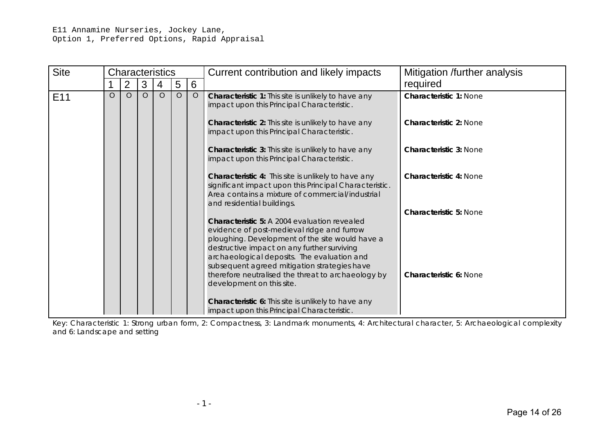#### E11 Annamine Nurseries, Jockey Lane, Option 1, Preferred Options, Rapid Appraisal

| <b>Site</b>     |         | <b>Characteristics</b> |   |         |         |         | Current contribution and likely impacts                                                                                                                                                                                                                                                            | Mitigation /further analysis  |
|-----------------|---------|------------------------|---|---------|---------|---------|----------------------------------------------------------------------------------------------------------------------------------------------------------------------------------------------------------------------------------------------------------------------------------------------------|-------------------------------|
|                 |         | 2                      | 3 | 4       | 5       | 6       |                                                                                                                                                                                                                                                                                                    | required                      |
| E <sub>11</sub> | $\circ$ | $\Omega$               | O | $\circ$ | $\circ$ | $\circ$ | Characteristic 1: This site is unlikely to have any<br>impact upon this Principal Characteristic.                                                                                                                                                                                                  | <b>Characteristic 1: None</b> |
|                 |         |                        |   |         |         |         | Characteristic 2: This site is unlikely to have any<br>impact upon this Principal Characteristic.                                                                                                                                                                                                  | <b>Characteristic 2: None</b> |
|                 |         |                        |   |         |         |         | <b>Characteristic 3:</b> This site is unlikely to have any<br>impact upon this Principal Characteristic.                                                                                                                                                                                           | <b>Characteristic 3: None</b> |
|                 |         |                        |   |         |         |         | <b>Characteristic 4:</b> This site is unlikely to have any<br>significant impact upon this Principal Characteristic.<br>Area contains a mixture of commercial/industrial<br>and residential buildings.                                                                                             | <b>Characteristic 4: None</b> |
|                 |         |                        |   |         |         |         | <b>Characteristic 5: A 2004 evaluation revealed</b><br>evidence of post-medieval ridge and furrow<br>ploughing. Development of the site would have a<br>destructive impact on any further surviving<br>archaeological deposits. The evaluation and<br>subsequent agreed mitigation strategies have | <b>Characteristic 5: None</b> |
|                 |         |                        |   |         |         |         | therefore neutralised the threat to archaeology by<br>development on this site.                                                                                                                                                                                                                    | <b>Characteristic 6: None</b> |
|                 |         |                        |   |         |         |         | Characteristic 6: This site is unlikely to have any<br>impact upon this Principal Characteristic.                                                                                                                                                                                                  |                               |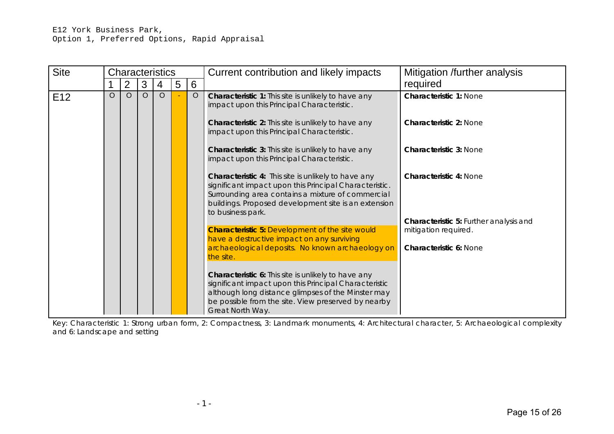#### E12 York Business Park, Option 1, Preferred Options, Rapid Appraisal

| <b>Site</b>     |         |         |   | <b>Characteristics</b> |   |         | Current contribution and likely impacts                                                                                                                                                                                                                    | Mitigation /further analysis                                                                    |
|-----------------|---------|---------|---|------------------------|---|---------|------------------------------------------------------------------------------------------------------------------------------------------------------------------------------------------------------------------------------------------------------------|-------------------------------------------------------------------------------------------------|
|                 |         | 2       | 3 | 4                      | 5 | 6       |                                                                                                                                                                                                                                                            | required                                                                                        |
| E <sub>12</sub> | $\circ$ | $\circ$ | O | $\circ$                |   | $\circ$ | Characteristic 1: This site is unlikely to have any<br>impact upon this Principal Characteristic.                                                                                                                                                          | <b>Characteristic 1: None</b>                                                                   |
|                 |         |         |   |                        |   |         | Characteristic 2: This site is unlikely to have any<br>impact upon this Principal Characteristic.                                                                                                                                                          | <b>Characteristic 2: None</b>                                                                   |
|                 |         |         |   |                        |   |         | Characteristic 3: This site is unlikely to have any<br>impact upon this Principal Characteristic.                                                                                                                                                          | <b>Characteristic 3: None</b>                                                                   |
|                 |         |         |   |                        |   |         | Characteristic 4: This site is unlikely to have any<br>significant impact upon this Principal Characteristic.<br>Surrounding area contains a mixture of commercial<br>buildings. Proposed development site is an extension<br>to business park.            | <b>Characteristic 4: None</b>                                                                   |
|                 |         |         |   |                        |   |         | <b>Characteristic 5: Development of the site would</b><br>have a destructive impact on any surviving<br>archaeological deposits. No known archaeology on                                                                                                   | Characteristic 5: Further analysis and<br>mitigation required.<br><b>Characteristic 6: None</b> |
|                 |         |         |   |                        |   |         | the site.<br>Characteristic 6: This site is unlikely to have any<br>significant impact upon this Principal Characteristic<br>although long distance glimpses of the Minster may<br>be possible from the site. View preserved by nearby<br>Great North Way. |                                                                                                 |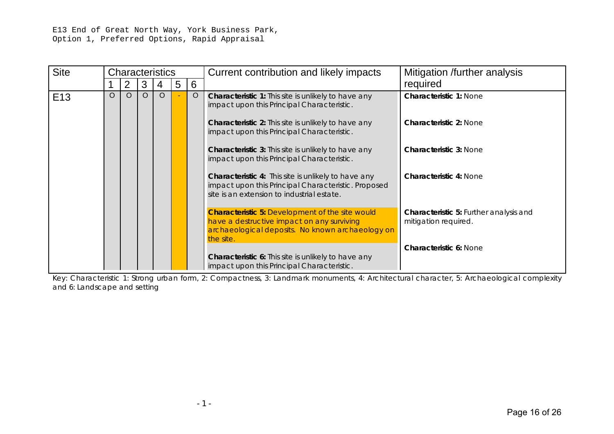E13 End of Great North Way, York Business Park, Option 1, Preferred Options, Rapid Appraisal

| <b>Site</b>     |         |          |          | <b>Characteristics</b> |   |         | Current contribution and likely impacts                                                                                                                               | Mitigation /further analysis                                          |
|-----------------|---------|----------|----------|------------------------|---|---------|-----------------------------------------------------------------------------------------------------------------------------------------------------------------------|-----------------------------------------------------------------------|
|                 |         |          | 3        | 4                      | 5 | 6       |                                                                                                                                                                       | required                                                              |
| E <sub>13</sub> | $\circ$ | $\Omega$ | $\Omega$ | $\Omega$               |   | $\circ$ | Characteristic 1: This site is unlikely to have any<br>impact upon this Principal Characteristic.                                                                     | <b>Characteristic 1: None</b>                                         |
|                 |         |          |          |                        |   |         | Characteristic 2: This site is unlikely to have any<br>impact upon this Principal Characteristic.                                                                     | <b>Characteristic 2: None</b>                                         |
|                 |         |          |          |                        |   |         | <b>Characteristic 3:</b> This site is unlikely to have any<br>impact upon this Principal Characteristic.                                                              | <b>Characteristic 3: None</b>                                         |
|                 |         |          |          |                        |   |         | <b>Characteristic 4:</b> This site is unlikely to have any<br>impact upon this Principal Characteristic. Proposed<br>site is an extension to industrial estate.       | <b>Characteristic 4: None</b>                                         |
|                 |         |          |          |                        |   |         | <b>Characteristic 5: Development of the site would</b><br>have a destructive impact on any surviving<br>archaeological deposits. No known archaeology on<br>the site. | <b>Characteristic 5: Further analysis and</b><br>mitigation required. |
|                 |         |          |          |                        |   |         | Characteristic 6: This site is unlikely to have any<br>impact upon this Principal Characteristic.                                                                     | <b>Characteristic 6: None</b>                                         |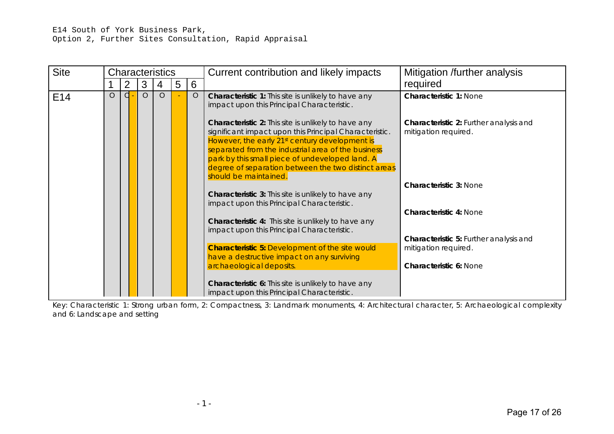| <b>Site</b>     |         |                |          | <b>Characteristics</b> |   |         | Current contribution and likely impacts                                                                                                                                                                                                                                                                                                                              | Mitigation /further analysis                                   |
|-----------------|---------|----------------|----------|------------------------|---|---------|----------------------------------------------------------------------------------------------------------------------------------------------------------------------------------------------------------------------------------------------------------------------------------------------------------------------------------------------------------------------|----------------------------------------------------------------|
|                 |         | $\overline{2}$ | 3        | 4                      | 5 | 6       |                                                                                                                                                                                                                                                                                                                                                                      | required                                                       |
| E <sub>14</sub> | $\circ$ | d              | $\Omega$ | $\circ$                |   | $\circ$ | <b>Characteristic 1:</b> This site is unlikely to have any<br>impact upon this Principal Characteristic.                                                                                                                                                                                                                                                             | <b>Characteristic 1: None</b>                                  |
|                 |         |                |          |                        |   |         | Characteristic 2: This site is unlikely to have any<br>significant impact upon this Principal Characteristic.<br>However, the early 21 <sup>st</sup> century development is<br>separated from the industrial area of the business<br>park by this small piece of undeveloped land. A<br>degree of separation between the two distinct areas<br>should be maintained. | Characteristic 2: Further analysis and<br>mitigation required. |
|                 |         |                |          |                        |   |         | <b>Characteristic 3:</b> This site is unlikely to have any<br>impact upon this Principal Characteristic.                                                                                                                                                                                                                                                             | <b>Characteristic 3: None</b>                                  |
|                 |         |                |          |                        |   |         | Characteristic 4: This site is unlikely to have any<br>impact upon this Principal Characteristic.                                                                                                                                                                                                                                                                    | <b>Characteristic 4: None</b>                                  |
|                 |         |                |          |                        |   |         | <b>Characteristic 5: Development of the site would</b><br>have a destructive impact on any surviving                                                                                                                                                                                                                                                                 | Characteristic 5: Further analysis and<br>mitigation required. |
|                 |         |                |          |                        |   |         | archaeological deposits.                                                                                                                                                                                                                                                                                                                                             | Characteristic 6: None                                         |
|                 |         |                |          |                        |   |         | Characteristic 6: This site is unlikely to have any<br>impact upon this Principal Characteristic.                                                                                                                                                                                                                                                                    |                                                                |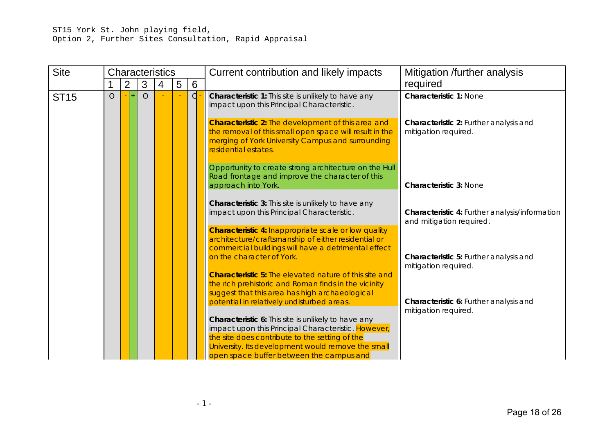## ST15 York St. John playing field, Option 2, Further Sites Consultation, Rapid Appraisal

| <b>Site</b> |            |                |                | <b>Characteristics</b> |   |                 | Current contribution and likely impacts                                                                                                                                                           | Mitigation /further analysis                                               |  |
|-------------|------------|----------------|----------------|------------------------|---|-----------------|---------------------------------------------------------------------------------------------------------------------------------------------------------------------------------------------------|----------------------------------------------------------------------------|--|
|             |            | $\overline{2}$ | 3              | 4                      | 5 | $6\phantom{1}6$ |                                                                                                                                                                                                   | required                                                                   |  |
| <b>ST15</b> | $\bigcirc$ | 4              | $\overline{O}$ |                        |   | $\overline{C}$  | Characteristic 1: This site is unlikely to have any<br>impact upon this Principal Characteristic.                                                                                                 | <b>Characteristic 1: None</b>                                              |  |
|             |            |                |                |                        |   |                 | <b>Characteristic 2:</b> The development of this area and<br>the removal of this small open space will result in the<br>merging of York University Campus and surrounding<br>residential estates. | <b>Characteristic 2: Further analysis and</b><br>mitigation required.      |  |
|             |            |                |                |                        |   |                 | Opportunity to create strong architecture on the Hull<br>Road frontage and improve the character of this<br>approach into York.                                                                   | <b>Characteristic 3: None</b>                                              |  |
|             |            |                |                |                        |   |                 |                                                                                                                                                                                                   |                                                                            |  |
|             |            |                |                |                        |   |                 | Characteristic 3: This site is unlikely to have any<br>impact upon this Principal Characteristic.                                                                                                 | Characteristic 4: Further analysis/information<br>and mitigation required. |  |
|             |            |                |                |                        |   |                 | <b>Characteristic 4: Inappropriate scale or low quality</b><br>architecture/craftsmanship of either residential or<br>commercial buildings will have a detrimental effect                         |                                                                            |  |
|             |            |                |                |                        |   |                 | on the character of York.                                                                                                                                                                         | Characteristic 5: Further analysis and<br>mitigation required.             |  |
|             |            |                |                |                        |   |                 | <b>Characteristic 5:</b> The elevated nature of this site and<br>the rich prehistoric and Roman finds in the vicinity<br>suggest that this area has high archaeological                           |                                                                            |  |
|             |            |                |                |                        |   |                 | potential in relatively undisturbed areas.                                                                                                                                                        | Characteristic 6: Further analysis and<br>mitigation required.             |  |
|             |            |                |                |                        |   |                 | Characteristic 6: This site is unlikely to have any<br>impact upon this Principal Characteristic. However,                                                                                        |                                                                            |  |
|             |            |                |                |                        |   |                 | the site does contribute to the setting of the<br>University. Its development would remove the small<br>open space buffer between the campus and                                                  |                                                                            |  |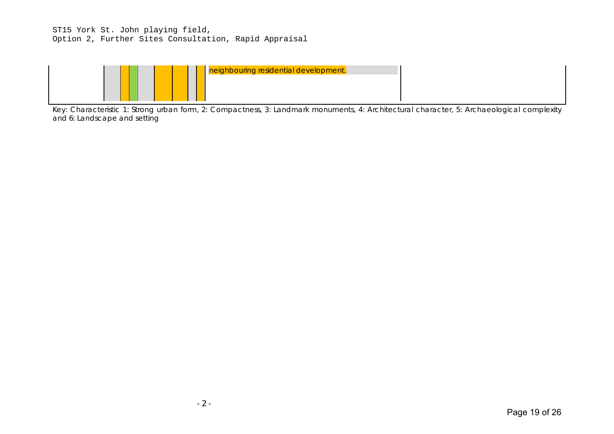## ST15 York St. John playing field, Option 2, Further Sites Consultation, Rapid Appraisal



Key: Characteristic 1: Strong urban form, 2: Compactness, 3: Landmark monuments, 4: Architectural character, 5: Archaeological complexity and 6: Landscape and setting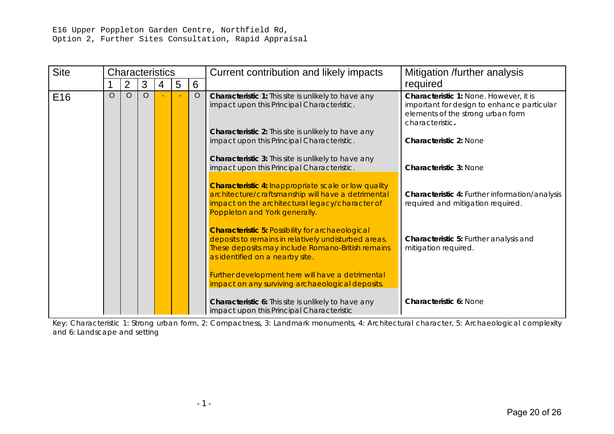## E16 Upper Poppleton Garden Centre, Northfield Rd, Option 2, Further Sites Consultation, Rapid Appraisal

| <b>Site</b>     |          | <b>Characteristics</b> |         |   |   |         | Current contribution and likely impacts                                                                                                                                                                 | Mitigation /further analysis                                                                                                                 |  |
|-----------------|----------|------------------------|---------|---|---|---------|---------------------------------------------------------------------------------------------------------------------------------------------------------------------------------------------------------|----------------------------------------------------------------------------------------------------------------------------------------------|--|
|                 |          | $\overline{2}$         | 3       | 4 | 5 | 6       |                                                                                                                                                                                                         | required                                                                                                                                     |  |
| E <sub>16</sub> | $\Omega$ | $\Omega$               | $\circ$ |   |   | $\circ$ | Characteristic 1: This site is unlikely to have any<br>impact upon this Principal Characteristic.                                                                                                       | Characteristic 1: None. However, it is<br>important for design to enhance particular<br>elements of the strong urban form<br>characteristic. |  |
|                 |          |                        |         |   |   |         | Characteristic 2: This site is unlikely to have any<br>impact upon this Principal Characteristic.                                                                                                       | <b>Characteristic 2: None</b>                                                                                                                |  |
|                 |          |                        |         |   |   |         | Characteristic 3: This site is unlikely to have any<br>impact upon this Principal Characteristic.                                                                                                       | <b>Characteristic 3: None</b>                                                                                                                |  |
|                 |          |                        |         |   |   |         | <b>Characteristic 4: Inappropriate scale or low quality</b><br>architecture/craftsmanship will have a detrimental<br>impact on the architectural legacy/character of<br>Poppleton and York generally.   | Characteristic 4: Further information/analysis<br>required and mitigation required.                                                          |  |
|                 |          |                        |         |   |   |         | <b>Characteristic 5: Possibility for archaeological</b><br>deposits to remains in relatively undisturbed areas.<br>These deposits may include Romano-British remains<br>as identified on a nearby site. | Characteristic 5: Further analysis and<br>mitigation required.                                                                               |  |
|                 |          |                        |         |   |   |         | Further development here will have a detrimental<br>impact on any surviving archaeological deposits.                                                                                                    |                                                                                                                                              |  |
|                 |          |                        |         |   |   |         | Characteristic 6: This site is unlikely to have any<br>impact upon this Principal Characteristic                                                                                                        | <b>Characteristic 6: None</b>                                                                                                                |  |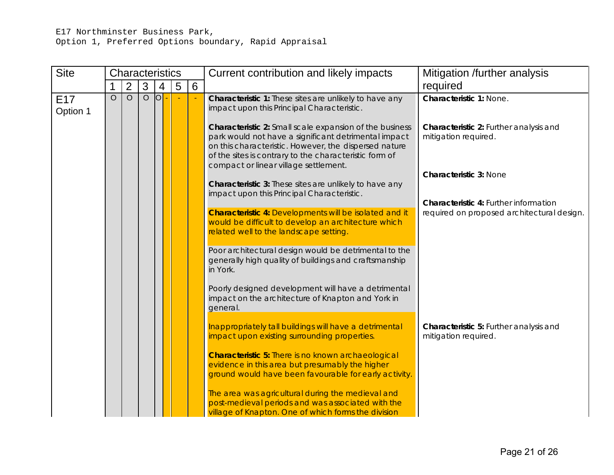# E17 Northminster Business Park, Option 1, Preferred Options boundary, Rapid Appraisal

| <b>Site</b>                 |         | Characteristics |                |                |   |   | Current contribution and likely impacts                                                                                                                                                                                                                                     | Mitigation /further analysis                                   |
|-----------------------------|---------|-----------------|----------------|----------------|---|---|-----------------------------------------------------------------------------------------------------------------------------------------------------------------------------------------------------------------------------------------------------------------------------|----------------------------------------------------------------|
|                             |         | 2               | 3              | $\overline{4}$ | 5 | 6 |                                                                                                                                                                                                                                                                             | required                                                       |
| E <sub>17</sub><br>Option 1 | $\circ$ | $\overline{O}$  | $\overline{O}$ | 0              |   |   | Characteristic 1: These sites are unlikely to have any<br>impact upon this Principal Characteristic.                                                                                                                                                                        | Characteristic 1: None.                                        |
|                             |         |                 |                |                |   |   | Characteristic 2: Small scale expansion of the business<br>park would not have a significant detrimental impact<br>on this characteristic. However, the dispersed nature<br>of the sites is contrary to the characteristic form of<br>compact or linear village settlement. | Characteristic 2: Further analysis and<br>mitigation required. |
|                             |         |                 |                |                |   |   | Characteristic 3: These sites are unlikely to have any<br>impact upon this Principal Characteristic.                                                                                                                                                                        | <b>Characteristic 3: None</b>                                  |
|                             |         |                 |                |                |   |   |                                                                                                                                                                                                                                                                             | Characteristic 4: Further information                          |
|                             |         |                 |                |                |   |   | <b>Characteristic 4: Developments will be isolated and it</b><br>would be difficult to develop an architecture which<br>related well to the landscape setting                                                                                                               | required on proposed architectural design.                     |
|                             |         |                 |                |                |   |   | Poor architectural design would be detrimental to the<br>generally high quality of buildings and craftsmanship<br>in York.                                                                                                                                                  |                                                                |
|                             |         |                 |                |                |   |   | Poorly designed development will have a detrimental<br>impact on the architecture of Knapton and York in<br>general.                                                                                                                                                        |                                                                |
|                             |         |                 |                |                |   |   | Inappropriately tall buildings will have a detrimental<br>impact upon existing surrounding properties.                                                                                                                                                                      | Characteristic 5: Further analysis and<br>mitigation required. |
|                             |         |                 |                |                |   |   | <b>Characteristic 5: There is no known archaeological</b><br>evidence in this area but presumably the higher<br>ground would have been favourable for early activity.                                                                                                       |                                                                |
|                             |         |                 |                |                |   |   | The area was agricultural during the medieval and<br>post-medieval periods and was associated with the<br>village of Knapton. One of which forms the division                                                                                                               |                                                                |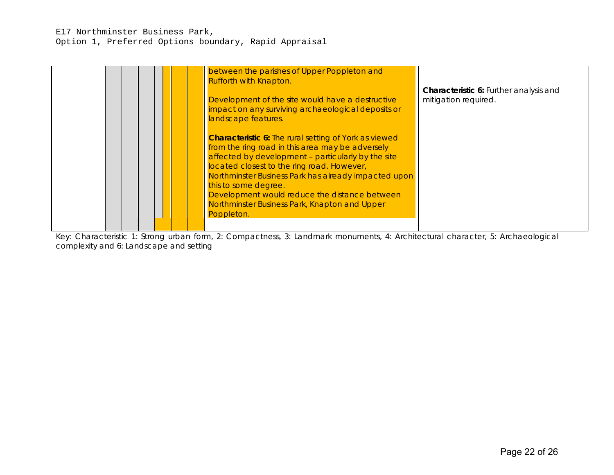## E17 Northminster Business Park, Option 1, Preferred Options boundary, Rapid Appraisal

| between the parishes of Upper Poppleton and<br>Rufforth with Knapton.<br>Development of the site would have a destructive<br>impact on any surviving archaeological deposits or<br>landscape features.                                                                                                                                                                                                               | <b>Characteristic 6: Further analysis and</b><br>mitigation required. |
|----------------------------------------------------------------------------------------------------------------------------------------------------------------------------------------------------------------------------------------------------------------------------------------------------------------------------------------------------------------------------------------------------------------------|-----------------------------------------------------------------------|
| <b>Characteristic 6:</b> The rural setting of York as viewed<br>from the ring road in this area may be adversely<br>affected by development - particularly by the site<br>located closest to the ring road. However,<br>Northminster Business Park has already impacted upon<br>this to some degree.<br>Development would reduce the distance between<br>Northminster Business Park, Knapton and Upper<br>Poppleton. |                                                                       |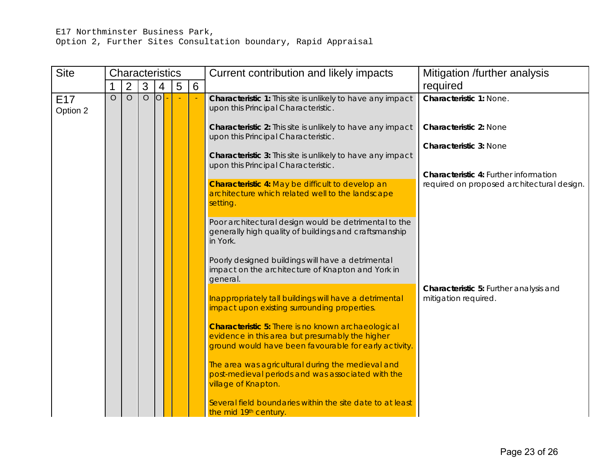## E17 Northminster Business Park,

Option 2, Further Sites Consultation boundary, Rapid Appraisal

| <b>Site</b>                 |                                                                                                 | <b>Characteristics</b>                                                                                             |         |                |   |                | Current contribution and likely impacts                                                                                       | Mitigation /further analysis                                                        |                                                                |
|-----------------------------|-------------------------------------------------------------------------------------------------|--------------------------------------------------------------------------------------------------------------------|---------|----------------|---|----------------|-------------------------------------------------------------------------------------------------------------------------------|-------------------------------------------------------------------------------------|----------------------------------------------------------------|
|                             | 1                                                                                               | $\overline{2}$                                                                                                     | 3       | 4              | 5 | 6              |                                                                                                                               | required                                                                            |                                                                |
| E <sub>17</sub><br>Option 2 | $\circ$                                                                                         | $\circ$                                                                                                            | $\circ$ | $\overline{O}$ |   | $\blacksquare$ | Characteristic 1: This site is unlikely to have any impact<br>upon this Principal Characteristic.                             | Characteristic 1: None.                                                             |                                                                |
|                             |                                                                                                 |                                                                                                                    |         |                |   |                | <b>Characteristic 2:</b> This site is unlikely to have any impact<br>upon this Principal Characteristic.                      | <b>Characteristic 2: None</b>                                                       |                                                                |
|                             |                                                                                                 |                                                                                                                    |         |                |   |                | Characteristic 3: This site is unlikely to have any impact<br>upon this Principal Characteristic.                             | <b>Characteristic 3: None</b>                                                       |                                                                |
|                             |                                                                                                 |                                                                                                                    |         |                |   |                | Characteristic 4: May be difficult to develop an<br>architecture which related well to the landscape<br>setting               | Characteristic 4: Further information<br>required on proposed architectural design. |                                                                |
|                             |                                                                                                 |                                                                                                                    |         |                |   |                | Poor architectural design would be detrimental to the<br>generally high quality of buildings and craftsmanship<br>in York.    |                                                                                     |                                                                |
|                             |                                                                                                 |                                                                                                                    |         |                |   |                | Poorly designed buildings will have a detrimental<br>impact on the architecture of Knapton and York in<br>general.            |                                                                                     |                                                                |
|                             | impact upon existing surrounding properties.<br>evidence in this area but presumably the higher |                                                                                                                    |         |                |   |                |                                                                                                                               | Inappropriately tall buildings will have a detrimental                              | Characteristic 5: Further analysis and<br>mitigation required. |
|                             |                                                                                                 | <b>Characteristic 5: There is no known archaeological</b><br>ground would have been favourable for early activity. |         |                |   |                |                                                                                                                               |                                                                                     |                                                                |
|                             |                                                                                                 |                                                                                                                    |         |                |   |                | The area was agricultural during the medieval and<br>post-medieval periods and was associated with the<br>village of Knapton. |                                                                                     |                                                                |
|                             |                                                                                                 |                                                                                                                    |         |                |   |                | Several field boundaries within the site date to at least<br>the mid 19th century.                                            |                                                                                     |                                                                |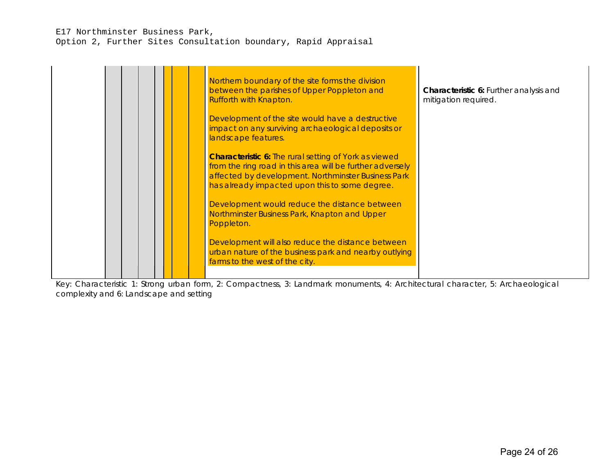#### E17 Northminster Business Park, Option 2, Further Sites Consultation boundary, Rapid Appraisal

Northern boundary of the site forms the division between the parishes of Upper Poppleton and Rufforth with Knapton. Development of the site would have a destructive impact on any surviving archaeological deposits or landscape features. **Characteristic 6:** The rural setting of York as viewed from the ring road in this area will be further adversely affected by development. Northminster Business Park has already impacted upon this to some degree. Development would reduce the distance between Northminster Business Park, Knapton and Upper Poppleton. Development will also reduce the distance between urban nature of the business park and nearby outlying farms to the west of the city. **Characteristic 6:** Further analysis and mitigation required.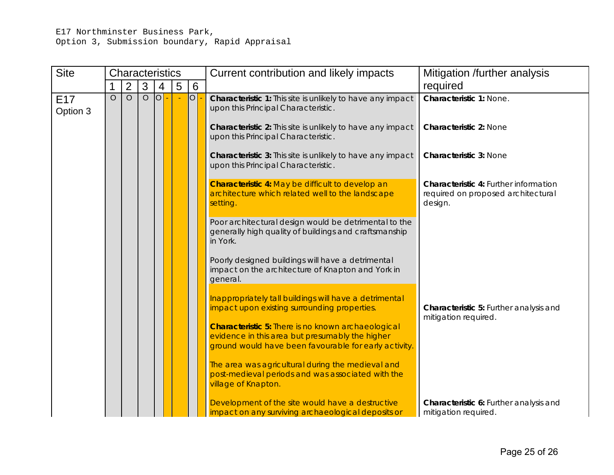## E17 Northminster Business Park, Option 3, Submission boundary, Rapid Appraisal

| <b>Site</b>                 |          | Characteristics                                                                                                                                                                                       |         |                 |   |                                    | Current contribution and likely impacts                                                                                                                               | Mitigation /further analysis                                   |
|-----------------------------|----------|-------------------------------------------------------------------------------------------------------------------------------------------------------------------------------------------------------|---------|-----------------|---|------------------------------------|-----------------------------------------------------------------------------------------------------------------------------------------------------------------------|----------------------------------------------------------------|
|                             | 1        | $\overline{2}$                                                                                                                                                                                        | 3       | 4               | 5 | $6\phantom{1}$                     |                                                                                                                                                                       | required                                                       |
| E <sub>17</sub><br>Option 3 | $\Omega$ | $\circ$                                                                                                                                                                                               | $\circ$ | 10 <sup>P</sup> |   | $\overline{\bigcirc}$              | Characteristic 1: This site is unlikely to have any impact<br>upon this Principal Characteristic.<br>Characteristic 2: This site is unlikely to have any impact       | Characteristic 1: None.<br><b>Characteristic 2: None</b>       |
|                             |          |                                                                                                                                                                                                       |         |                 |   |                                    | upon this Principal Characteristic.<br><b>Characteristic 3:</b> This site is unlikely to have any impact                                                              | <b>Characteristic 3: None</b>                                  |
|                             |          |                                                                                                                                                                                                       |         |                 |   |                                    | upon this Principal Characteristic.<br>Characteristic 4: May be difficult to develop an                                                                               | Characteristic 4: Further information                          |
|                             |          | architecture which related well to the landscape<br>design.<br>setting.<br>Poor architectural design would be detrimental to the<br>generally high quality of buildings and craftsmanship<br>in York. |         |                 |   | required on proposed architectural |                                                                                                                                                                       |                                                                |
|                             |          |                                                                                                                                                                                                       |         |                 |   |                                    |                                                                                                                                                                       |                                                                |
|                             |          |                                                                                                                                                                                                       |         |                 |   |                                    | Poorly designed buildings will have a detrimental<br>impact on the architecture of Knapton and York in<br>general.                                                    |                                                                |
|                             |          |                                                                                                                                                                                                       |         |                 |   |                                    | Inappropriately tall buildings will have a detrimental<br>impact upon existing surrounding properties.                                                                | Characteristic 5: Further analysis and<br>mitigation required. |
|                             |          |                                                                                                                                                                                                       |         |                 |   |                                    | <b>Characteristic 5: There is no known archaeological</b><br>evidence in this area but presumably the higher<br>ground would have been favourable for early activity. |                                                                |
|                             |          |                                                                                                                                                                                                       |         |                 |   |                                    | The area was agricultural during the medieval and<br>post-medieval periods and was associated with the<br>village of Knapton.                                         |                                                                |
|                             |          |                                                                                                                                                                                                       |         |                 |   |                                    | Development of the site would have a destructive<br>impact on any surviving archaeological deposits or                                                                | Characteristic 6: Further analysis and<br>mitigation required. |